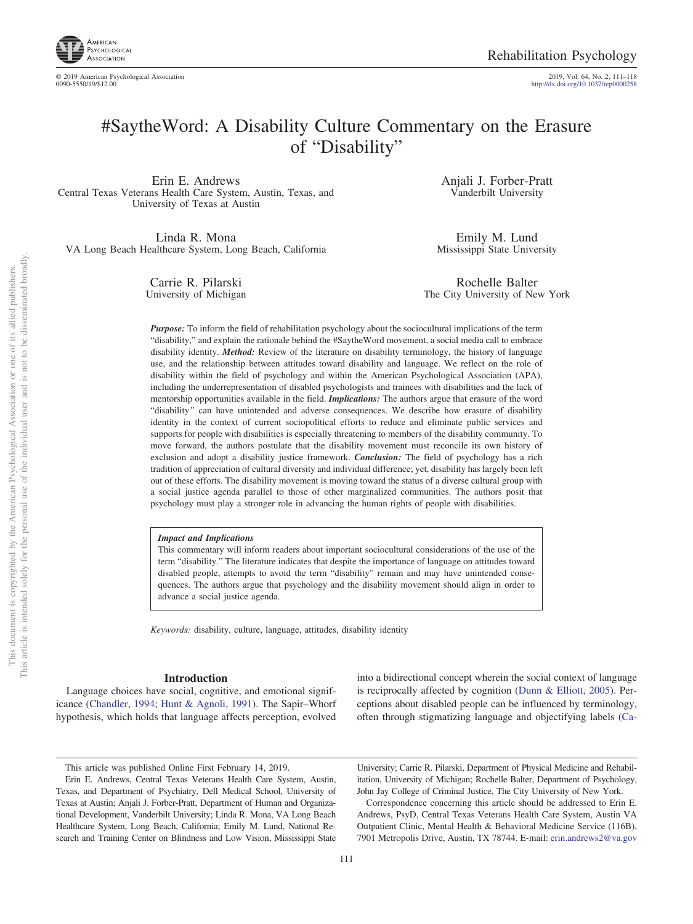

# #SaytheWord: A Disability Culture Commentary on the Erasure of "Disability"

Erin E. Andrews Central Texas Veterans Health Care System, Austin, Texas, and University of Texas at Austin

Linda R. Mona VA Long Beach Healthcare System, Long Beach, California

> Carrie R. Pilarski University of Michigan

Anjali J. Forber-Pratt Vanderbilt University

Emily M. Lund Mississippi State University

Rochelle Balter The City University of New York

*Purpose:* To inform the field of rehabilitation psychology about the sociocultural implications of the term "disability," and explain the rationale behind the #SaytheWord movement, a social media call to embrace disability identity. *Method:* Review of the literature on disability terminology, the history of language use, and the relationship between attitudes toward disability and language. We reflect on the role of disability within the field of psychology and within the American Psychological Association (APA), including the underrepresentation of disabled psychologists and trainees with disabilities and the lack of mentorship opportunities available in the field. *Implications:* The authors argue that erasure of the word "disability*"* can have unintended and adverse consequences. We describe how erasure of disability identity in the context of current sociopolitical efforts to reduce and eliminate public services and supports for people with disabilities is especially threatening to members of the disability community. To move forward, the authors postulate that the disability movement must reconcile its own history of exclusion and adopt a disability justice framework. *Conclusion:* The field of psychology has a rich tradition of appreciation of cultural diversity and individual difference; yet, disability has largely been left out of these efforts. The disability movement is moving toward the status of a diverse cultural group with a social justice agenda parallel to those of other marginalized communities. The authors posit that psychology must play a stronger role in advancing the human rights of people with disabilities.

#### *Impact and Implications*

This commentary will inform readers about important sociocultural considerations of the use of the term "disability." The literature indicates that despite the importance of language on attitudes toward disabled people, attempts to avoid the term "disability" remain and may have unintended consequences. The authors argue that psychology and the disability movement should align in order to advance a social justice agenda.

*Keywords:* disability, culture, language, attitudes, disability identity

#### **Introduction**

Language choices have social, cognitive, and emotional significance [\(Chandler, 1994;](#page-5-0) [Hunt & Agnoli, 1991\)](#page-6-0). The Sapir–Whorf hypothesis, which holds that language affects perception, evolved into a bidirectional concept wherein the social context of language is reciprocally affected by cognition [\(Dunn & Elliott, 2005\)](#page-6-1). Perceptions about disabled people can be influenced by terminology, often through stigmatizing language and objectifying labels [\(Ca-](#page-5-1)

University; Carrie R. Pilarski, Department of Physical Medicine and Rehabilitation, University of Michigan; Rochelle Balter, Department of Psychology, John Jay College of Criminal Justice, The City University of New York.

Correspondence concerning this article should be addressed to Erin E. Andrews, PsyD, Central Texas Veterans Health Care System, Austin VA Outpatient Clinic, Mental Health & Behavioral Medicine Service (116B), 7901 Metropolis Drive, Austin, TX 78744. E-mail: [erin.andrews2@va.gov](mailto:erin.andrews2@va.gov)

This article was published Online First February 14, 2019.

Erin E. Andrews, Central Texas Veterans Health Care System, Austin, Texas, and Department of Psychiatry, Dell Medical School, University of Texas at Austin; Anjali J. Forber-Pratt, Department of Human and Organizational Development, Vanderbilt University; Linda R. Mona, VA Long Beach Healthcare System, Long Beach, California; Emily M. Lund, National Research and Training Center on Blindness and Low Vision, Mississippi State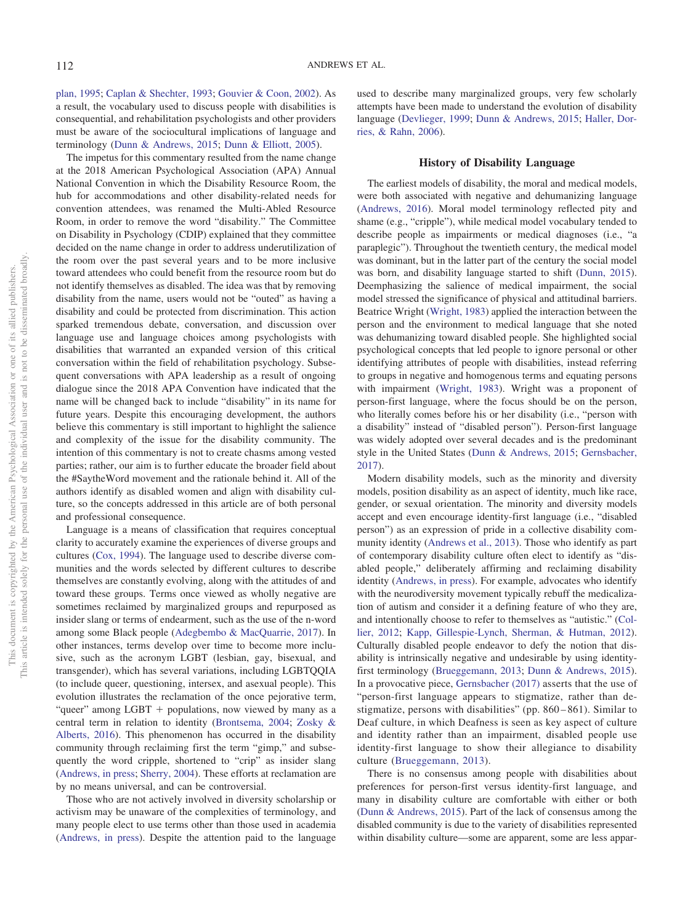[plan, 1995;](#page-5-1) [Caplan & Shechter, 1993;](#page-5-2) [Gouvier & Coon, 2002\)](#page-6-2). As a result, the vocabulary used to discuss people with disabilities is consequential, and rehabilitation psychologists and other providers must be aware of the sociocultural implications of language and terminology [\(Dunn & Andrews, 2015;](#page-6-3) [Dunn & Elliott, 2005\)](#page-6-1).

The impetus for this commentary resulted from the name change at the 2018 American Psychological Association (APA) Annual National Convention in which the Disability Resource Room, the hub for accommodations and other disability-related needs for convention attendees, was renamed the Multi-Abled Resource Room, in order to remove the word "disability." The Committee on Disability in Psychology (CDIP) explained that they committee decided on the name change in order to address underutilization of the room over the past several years and to be more inclusive toward attendees who could benefit from the resource room but do not identify themselves as disabled. The idea was that by removing disability from the name, users would not be "outed" as having a disability and could be protected from discrimination. This action sparked tremendous debate, conversation, and discussion over language use and language choices among psychologists with disabilities that warranted an expanded version of this critical conversation within the field of rehabilitation psychology. Subsequent conversations with APA leadership as a result of ongoing dialogue since the 2018 APA Convention have indicated that the name will be changed back to include "disability" in its name for future years. Despite this encouraging development, the authors believe this commentary is still important to highlight the salience and complexity of the issue for the disability community. The intention of this commentary is not to create chasms among vested parties; rather, our aim is to further educate the broader field about the #SaytheWord movement and the rationale behind it. All of the authors identify as disabled women and align with disability culture, so the concepts addressed in this article are of both personal and professional consequence.

Language is a means of classification that requires conceptual clarity to accurately examine the experiences of diverse groups and cultures [\(Cox, 1994\)](#page-5-3). The language used to describe diverse communities and the words selected by different cultures to describe themselves are constantly evolving, along with the attitudes of and toward these groups. Terms once viewed as wholly negative are sometimes reclaimed by marginalized groups and repurposed as insider slang or terms of endearment, such as the use of the n-word among some Black people [\(Adegbembo & MacQuarrie, 2017\)](#page-5-4). In other instances, terms develop over time to become more inclusive, such as the acronym LGBT (lesbian, gay, bisexual, and transgender), which has several variations, including LGBTQQIA (to include queer, questioning, intersex, and asexual people). This evolution illustrates the reclamation of the once pejorative term, "queer" among LGBT + populations, now viewed by many as a central term in relation to identity [\(Brontsema, 2004;](#page-5-5) [Zosky &](#page-7-0) [Alberts, 2016\)](#page-7-0). This phenomenon has occurred in the disability community through reclaiming first the term "gimp," and subsequently the word cripple, shortened to "crip" as insider slang [\(Andrews, in press;](#page-5-6) [Sherry, 2004\)](#page-7-1). These efforts at reclamation are by no means universal, and can be controversial.

Those who are not actively involved in diversity scholarship or activism may be unaware of the complexities of terminology, and many people elect to use terms other than those used in academia [\(Andrews, in press\)](#page-5-6). Despite the attention paid to the language used to describe many marginalized groups, very few scholarly attempts have been made to understand the evolution of disability language [\(Devlieger, 1999;](#page-6-4) [Dunn & Andrews, 2015;](#page-6-3) [Haller, Dor](#page-6-5)[ries, & Rahn, 2006\)](#page-6-5).

## **History of Disability Language**

The earliest models of disability, the moral and medical models, were both associated with negative and dehumanizing language [\(Andrews, 2016\)](#page-5-7). Moral model terminology reflected pity and shame (e.g., "cripple"), while medical model vocabulary tended to describe people as impairments or medical diagnoses (i.e., "a paraplegic"). Throughout the twentieth century, the medical model was dominant, but in the latter part of the century the social model was born, and disability language started to shift [\(Dunn, 2015\)](#page-6-6). Deemphasizing the salience of medical impairment, the social model stressed the significance of physical and attitudinal barriers. Beatrice Wright [\(Wright, 1983\)](#page-7-2) applied the interaction between the person and the environment to medical language that she noted was dehumanizing toward disabled people. She highlighted social psychological concepts that led people to ignore personal or other identifying attributes of people with disabilities, instead referring to groups in negative and homogenous terms and equating persons with impairment [\(Wright, 1983\)](#page-7-2). Wright was a proponent of person-first language, where the focus should be on the person, who literally comes before his or her disability (i.e., "person with a disability" instead of "disabled person"). Person-first language was widely adopted over several decades and is the predominant style in the United States [\(Dunn & Andrews, 2015;](#page-6-3) [Gernsbacher,](#page-6-7) [2017\)](#page-6-7).

Modern disability models, such as the minority and diversity models, position disability as an aspect of identity, much like race, gender, or sexual orientation. The minority and diversity models accept and even encourage identity-first language (i.e., "disabled person") as an expression of pride in a collective disability community identity [\(Andrews et al., 2013\)](#page-5-8). Those who identify as part of contemporary disability culture often elect to identify as "disabled people," deliberately affirming and reclaiming disability identity [\(Andrews, in press\)](#page-5-6). For example, advocates who identify with the neurodiversity movement typically rebuff the medicalization of autism and consider it a defining feature of who they are, and intentionally choose to refer to themselves as "autistic." [\(Col](#page-5-9)[lier, 2012;](#page-5-9) [Kapp, Gillespie-Lynch, Sherman, & Hutman, 2012\)](#page-6-8). Culturally disabled people endeavor to defy the notion that disability is intrinsically negative and undesirable by using identityfirst terminology [\(Brueggemann, 2013;](#page-5-10) [Dunn & Andrews, 2015\)](#page-6-3). In a provocative piece, [Gernsbacher \(2017\)](#page-6-7) asserts that the use of "person-first language appears to stigmatize, rather than destigmatize, persons with disabilities" (pp. 860 – 861). Similar to Deaf culture, in which Deafness is seen as key aspect of culture and identity rather than an impairment, disabled people use identity-first language to show their allegiance to disability culture [\(Brueggemann, 2013\)](#page-5-10).

There is no consensus among people with disabilities about preferences for person-first versus identity-first language, and many in disability culture are comfortable with either or both [\(Dunn & Andrews, 2015\)](#page-6-3). Part of the lack of consensus among the disabled community is due to the variety of disabilities represented within disability culture—some are apparent, some are less appar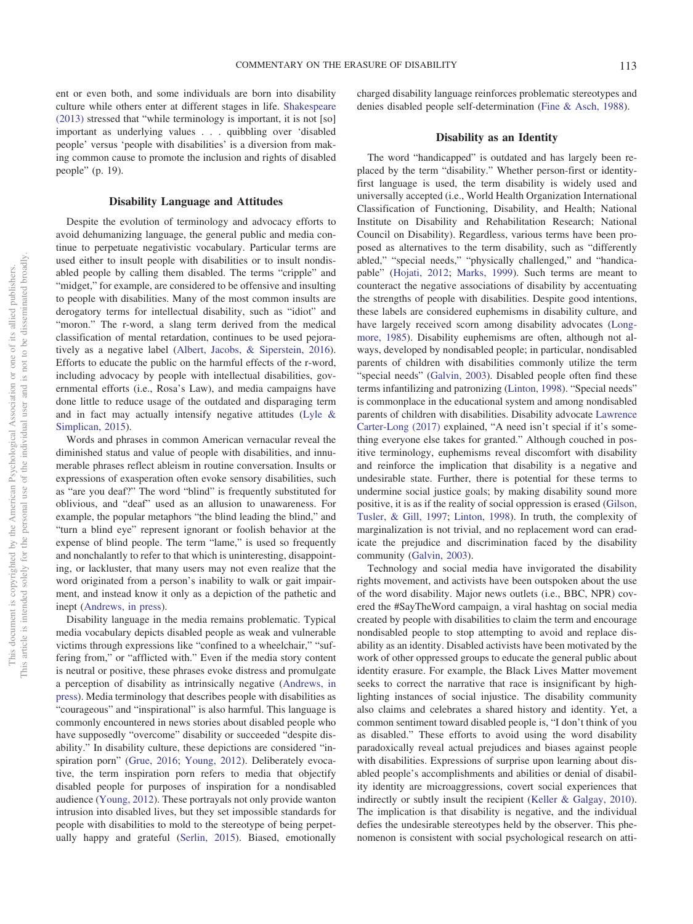ent or even both, and some individuals are born into disability culture while others enter at different stages in life. [Shakespeare](#page-7-3) [\(2013\)](#page-7-3) stressed that "while terminology is important, it is not [so] important as underlying values... quibbling over 'disabled people' versus 'people with disabilities' is a diversion from making common cause to promote the inclusion and rights of disabled people" (p. 19).

#### **Disability Language and Attitudes**

Despite the evolution of terminology and advocacy efforts to avoid dehumanizing language, the general public and media continue to perpetuate negativistic vocabulary. Particular terms are used either to insult people with disabilities or to insult nondisabled people by calling them disabled. The terms "cripple" and "midget," for example, are considered to be offensive and insulting to people with disabilities. Many of the most common insults are derogatory terms for intellectual disability, such as "idiot" and "moron." The r-word, a slang term derived from the medical classification of mental retardation, continues to be used pejoratively as a negative label [\(Albert, Jacobs, & Siperstein, 2016\)](#page-5-11). Efforts to educate the public on the harmful effects of the r-word, including advocacy by people with intellectual disabilities, governmental efforts (i.e., Rosa's Law), and media campaigns have done little to reduce usage of the outdated and disparaging term and in fact may actually intensify negative attitudes [\(Lyle &](#page-6-9) [Simplican, 2015\)](#page-6-9).

Words and phrases in common American vernacular reveal the diminished status and value of people with disabilities, and innumerable phrases reflect ableism in routine conversation. Insults or expressions of exasperation often evoke sensory disabilities, such as "are you deaf?" The word "blind" is frequently substituted for oblivious, and "deaf" used as an allusion to unawareness. For example, the popular metaphors "the blind leading the blind," and "turn a blind eye" represent ignorant or foolish behavior at the expense of blind people. The term "lame," is used so frequently and nonchalantly to refer to that which is uninteresting, disappointing, or lackluster, that many users may not even realize that the word originated from a person's inability to walk or gait impairment, and instead know it only as a depiction of the pathetic and inept [\(Andrews, in press\)](#page-5-6).

Disability language in the media remains problematic. Typical media vocabulary depicts disabled people as weak and vulnerable victims through expressions like "confined to a wheelchair," "suffering from," or "afflicted with." Even if the media story content is neutral or positive, these phrases evoke distress and promulgate a perception of disability as intrinsically negative [\(Andrews, in](#page-5-6) [press\)](#page-5-6). Media terminology that describes people with disabilities as "courageous" and "inspirational" is also harmful. This language is commonly encountered in news stories about disabled people who have supposedly "overcome" disability or succeeded "despite disability." In disability culture, these depictions are considered "inspiration porn" [\(Grue, 2016;](#page-6-10) [Young, 2012\)](#page-7-4). Deliberately evocative, the term inspiration porn refers to media that objectify disabled people for purposes of inspiration for a nondisabled audience [\(Young, 2012\)](#page-7-4). These portrayals not only provide wanton intrusion into disabled lives, but they set impossible standards for people with disabilities to mold to the stereotype of being perpetually happy and grateful [\(Serlin, 2015\)](#page-7-5). Biased, emotionally

charged disability language reinforces problematic stereotypes and denies disabled people self-determination [\(Fine & Asch, 1988\)](#page-6-11).

## **Disability as an Identity**

The word "handicapped" is outdated and has largely been replaced by the term "disability." Whether person-first or identityfirst language is used, the term disability is widely used and universally accepted (i.e., World Health Organization International Classification of Functioning, Disability, and Health; National Institute on Disability and Rehabilitation Research; National Council on Disability). Regardless, various terms have been proposed as alternatives to the term disability, such as "differently abled," "special needs," "physically challenged," and "handicapable" [\(Hojati, 2012;](#page-6-12) [Marks, 1999\)](#page-6-13). Such terms are meant to counteract the negative associations of disability by accentuating the strengths of people with disabilities. Despite good intentions, these labels are considered euphemisms in disability culture, and have largely received scorn among disability advocates [\(Long](#page-6-14)[more, 1985\)](#page-6-14). Disability euphemisms are often, although not always, developed by nondisabled people; in particular, nondisabled parents of children with disabilities commonly utilize the term "special needs" [\(Galvin, 2003\)](#page-6-15). Disabled people often find these terms infantilizing and patronizing [\(Linton, 1998\)](#page-6-16). "Special needs" is commonplace in the educational system and among nondisabled parents of children with disabilities. Disability advocate [Lawrence](#page-5-12) [Carter-Long \(2017\)](#page-5-12) explained, "A need isn't special if it's something everyone else takes for granted." Although couched in positive terminology, euphemisms reveal discomfort with disability and reinforce the implication that disability is a negative and undesirable state. Further, there is potential for these terms to undermine social justice goals; by making disability sound more positive, it is as if the reality of social oppression is erased [\(Gilson,](#page-6-17) [Tusler, & Gill, 1997;](#page-6-17) [Linton, 1998\)](#page-6-16). In truth, the complexity of marginalization is not trivial, and no replacement word can eradicate the prejudice and discrimination faced by the disability community [\(Galvin, 2003\)](#page-6-15).

Technology and social media have invigorated the disability rights movement, and activists have been outspoken about the use of the word disability. Major news outlets (i.e., BBC, NPR) covered the #SayTheWord campaign, a viral hashtag on social media created by people with disabilities to claim the term and encourage nondisabled people to stop attempting to avoid and replace disability as an identity. Disabled activists have been motivated by the work of other oppressed groups to educate the general public about identity erasure. For example, the Black Lives Matter movement seeks to correct the narrative that race is insignificant by highlighting instances of social injustice. The disability community also claims and celebrates a shared history and identity. Yet, a common sentiment toward disabled people is, "I don't think of you as disabled." These efforts to avoid using the word disability paradoxically reveal actual prejudices and biases against people with disabilities. Expressions of surprise upon learning about disabled people's accomplishments and abilities or denial of disability identity are microaggressions, covert social experiences that indirectly or subtly insult the recipient [\(Keller & Galgay, 2010\)](#page-6-18). The implication is that disability is negative, and the individual defies the undesirable stereotypes held by the observer. This phenomenon is consistent with social psychological research on atti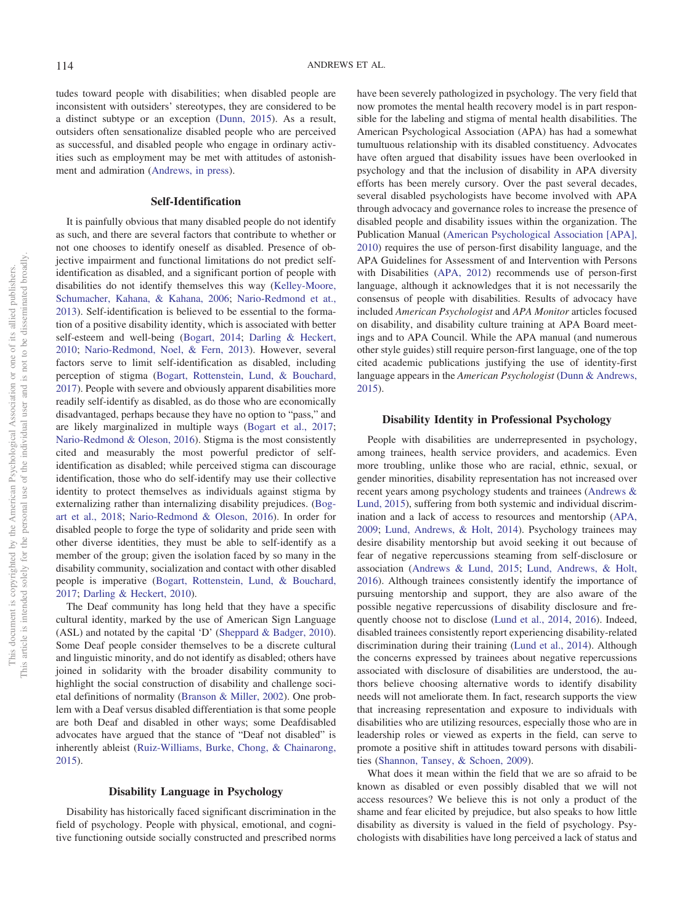tudes toward people with disabilities; when disabled people are inconsistent with outsiders' stereotypes, they are considered to be a distinct subtype or an exception [\(Dunn, 2015\)](#page-6-6). As a result, outsiders often sensationalize disabled people who are perceived as successful, and disabled people who engage in ordinary activities such as employment may be met with attitudes of astonishment and admiration [\(Andrews, in press\)](#page-5-6).

#### **Self-Identification**

It is painfully obvious that many disabled people do not identify as such, and there are several factors that contribute to whether or not one chooses to identify oneself as disabled. Presence of objective impairment and functional limitations do not predict selfidentification as disabled, and a significant portion of people with disabilities do not identify themselves this way [\(Kelley-Moore,](#page-6-19) [Schumacher, Kahana, & Kahana, 2006;](#page-6-19) [Nario-Redmond et at.,](#page-6-20) [2013\)](#page-6-20). Self-identification is believed to be essential to the formation of a positive disability identity, which is associated with better self-esteem and well-being [\(Bogart, 2014;](#page-5-13) [Darling & Heckert,](#page-5-14) [2010;](#page-5-14) [Nario-Redmond, Noel, & Fern, 2013\)](#page-6-20). However, several factors serve to limit self-identification as disabled, including perception of stigma [\(Bogart, Rottenstein, Lund, & Bouchard,](#page-5-15) [2017\)](#page-5-15). People with severe and obviously apparent disabilities more readily self-identify as disabled, as do those who are economically disadvantaged, perhaps because they have no option to "pass," and are likely marginalized in multiple ways [\(Bogart et al., 2017;](#page-5-15) [Nario-Redmond & Oleson, 2016\)](#page-6-21). Stigma is the most consistently cited and measurably the most powerful predictor of selfidentification as disabled; while perceived stigma can discourage identification, those who do self-identify may use their collective identity to protect themselves as individuals against stigma by externalizing rather than internalizing disability prejudices. [\(Bog](#page-5-16)[art et al., 2018;](#page-5-16) [Nario-Redmond & Oleson, 2016\)](#page-6-21). In order for disabled people to forge the type of solidarity and pride seen with other diverse identities, they must be able to self-identify as a member of the group; given the isolation faced by so many in the disability community, socialization and contact with other disabled people is imperative [\(Bogart, Rottenstein, Lund, & Bouchard,](#page-5-15) [2017;](#page-5-15) [Darling & Heckert, 2010\)](#page-5-14).

The Deaf community has long held that they have a specific cultural identity, marked by the use of American Sign Language (ASL) and notated by the capital 'D' [\(Sheppard & Badger, 2010\)](#page-7-6). Some Deaf people consider themselves to be a discrete cultural and linguistic minority, and do not identify as disabled; others have joined in solidarity with the broader disability community to highlight the social construction of disability and challenge societal definitions of normality [\(Branson & Miller, 2002\)](#page-5-17). One problem with a Deaf versus disabled differentiation is that some people are both Deaf and disabled in other ways; some Deafdisabled advocates have argued that the stance of "Deaf not disabled" is inherently ableist [\(Ruiz-Williams, Burke, Chong, & Chainarong,](#page-6-22) [2015\)](#page-6-22).

## **Disability Language in Psychology**

Disability has historically faced significant discrimination in the field of psychology. People with physical, emotional, and cognitive functioning outside socially constructed and prescribed norms have been severely pathologized in psychology. The very field that now promotes the mental health recovery model is in part responsible for the labeling and stigma of mental health disabilities. The American Psychological Association (APA) has had a somewhat tumultuous relationship with its disabled constituency. Advocates have often argued that disability issues have been overlooked in psychology and that the inclusion of disability in APA diversity efforts has been merely cursory. Over the past several decades, several disabled psychologists have become involved with APA through advocacy and governance roles to increase the presence of disabled people and disability issues within the organization. The Publication Manual [\(American Psychological Association \[APA\],](#page-5-18) [2010\)](#page-5-18) requires the use of person-first disability language, and the APA Guidelines for Assessment of and Intervention with Persons with Disabilities [\(APA, 2012\)](#page-5-19) recommends use of person-first language, although it acknowledges that it is not necessarily the consensus of people with disabilities. Results of advocacy have included *American Psychologist* and *APA Monitor* articles focused on disability, and disability culture training at APA Board meetings and to APA Council. While the APA manual (and numerous other style guides) still require person-first language, one of the top cited academic publications justifying the use of identity-first language appears in the *American Psychologist* [\(Dunn & Andrews,](#page-6-3) [2015\)](#page-6-3).

## **Disability Identity in Professional Psychology**

People with disabilities are underrepresented in psychology, among trainees, health service providers, and academics. Even more troubling, unlike those who are racial, ethnic, sexual, or gender minorities, disability representation has not increased over recent years among psychology students and trainees [\(Andrews &](#page-5-20) [Lund, 2015\)](#page-5-20), suffering from both systemic and individual discrimination and a lack of access to resources and mentorship [\(APA,](#page-5-21) [2009;](#page-5-21) [Lund, Andrews, & Holt, 2014\)](#page-6-23). Psychology trainees may desire disability mentorship but avoid seeking it out because of fear of negative repercussions steaming from self-disclosure or association [\(Andrews & Lund, 2015;](#page-5-20) [Lund, Andrews, & Holt,](#page-6-24) [2016\)](#page-6-24). Although trainees consistently identify the importance of pursuing mentorship and support, they are also aware of the possible negative repercussions of disability disclosure and frequently choose not to disclose [\(Lund et al., 2014,](#page-6-23) [2016\)](#page-6-24). Indeed, disabled trainees consistently report experiencing disability-related discrimination during their training [\(Lund et al., 2014\)](#page-6-23). Although the concerns expressed by trainees about negative repercussions associated with disclosure of disabilities are understood, the authors believe choosing alternative words to identify disability needs will not ameliorate them. In fact, research supports the view that increasing representation and exposure to individuals with disabilities who are utilizing resources, especially those who are in leadership roles or viewed as experts in the field, can serve to promote a positive shift in attitudes toward persons with disabilities [\(Shannon, Tansey, & Schoen, 2009\)](#page-7-7).

What does it mean within the field that we are so afraid to be known as disabled or even possibly disabled that we will not access resources? We believe this is not only a product of the shame and fear elicited by prejudice, but also speaks to how little disability as diversity is valued in the field of psychology. Psychologists with disabilities have long perceived a lack of status and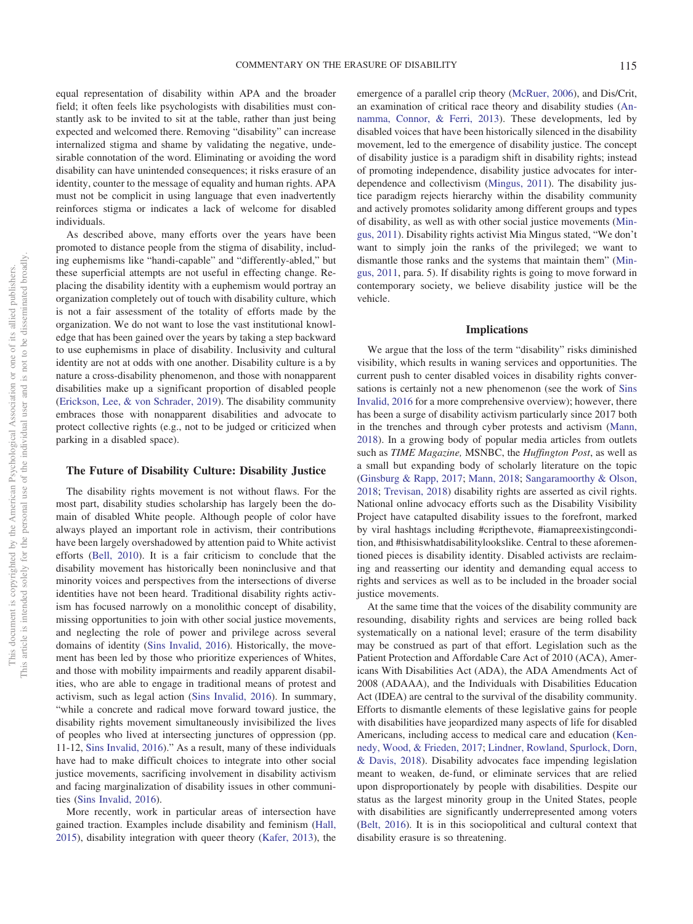equal representation of disability within APA and the broader field; it often feels like psychologists with disabilities must constantly ask to be invited to sit at the table, rather than just being expected and welcomed there. Removing "disability" can increase internalized stigma and shame by validating the negative, undesirable connotation of the word. Eliminating or avoiding the word disability can have unintended consequences; it risks erasure of an identity, counter to the message of equality and human rights. APA must not be complicit in using language that even inadvertently reinforces stigma or indicates a lack of welcome for disabled individuals.

As described above, many efforts over the years have been promoted to distance people from the stigma of disability, including euphemisms like "handi-capable" and "differently-abled," but these superficial attempts are not useful in effecting change. Replacing the disability identity with a euphemism would portray an organization completely out of touch with disability culture, which is not a fair assessment of the totality of efforts made by the organization. We do not want to lose the vast institutional knowledge that has been gained over the years by taking a step backward to use euphemisms in place of disability. Inclusivity and cultural identity are not at odds with one another. Disability culture is a by nature a cross-disability phenomenon, and those with nonapparent disabilities make up a significant proportion of disabled people [\(Erickson, Lee, & von Schrader, 2019\)](#page-6-25). The disability community embraces those with nonapparent disabilities and advocate to protect collective rights (e.g., not to be judged or criticized when parking in a disabled space).

## **The Future of Disability Culture: Disability Justice**

The disability rights movement is not without flaws. For the most part, disability studies scholarship has largely been the domain of disabled White people. Although people of color have always played an important role in activism, their contributions have been largely overshadowed by attention paid to White activist efforts [\(Bell, 2010\)](#page-5-22). It is a fair criticism to conclude that the disability movement has historically been noninclusive and that minority voices and perspectives from the intersections of diverse identities have not been heard. Traditional disability rights activism has focused narrowly on a monolithic concept of disability, missing opportunities to join with other social justice movements, and neglecting the role of power and privilege across several domains of identity [\(Sins Invalid, 2016\)](#page-7-8). Historically, the movement has been led by those who prioritize experiences of Whites, and those with mobility impairments and readily apparent disabilities, who are able to engage in traditional means of protest and activism, such as legal action [\(Sins Invalid, 2016\)](#page-7-8). In summary, "while a concrete and radical move forward toward justice, the disability rights movement simultaneously invisibilized the lives of peoples who lived at intersecting junctures of oppression (pp. 11-12, [Sins Invalid, 2016\)](#page-7-8)." As a result, many of these individuals have had to make difficult choices to integrate into other social justice movements, sacrificing involvement in disability activism and facing marginalization of disability issues in other communities [\(Sins Invalid, 2016\)](#page-7-8).

More recently, work in particular areas of intersection have gained traction. Examples include disability and feminism [\(Hall,](#page-6-26) [2015\)](#page-6-26), disability integration with queer theory [\(Kafer, 2013\)](#page-6-27), the emergence of a parallel crip theory [\(McRuer, 2006\)](#page-6-28), and Dis/Crit, an examination of critical race theory and disability studies [\(An](#page-5-23)[namma, Connor, & Ferri, 2013\)](#page-5-23). These developments, led by disabled voices that have been historically silenced in the disability movement, led to the emergence of disability justice. The concept of disability justice is a paradigm shift in disability rights; instead of promoting independence, disability justice advocates for interdependence and collectivism [\(Mingus, 2011\)](#page-6-29). The disability justice paradigm rejects hierarchy within the disability community and actively promotes solidarity among different groups and types of disability, as well as with other social justice movements [\(Min](#page-6-29)[gus, 2011\)](#page-6-29). Disability rights activist Mia Mingus stated, "We don't want to simply join the ranks of the privileged; we want to dismantle those ranks and the systems that maintain them" [\(Min](#page-6-29)[gus, 2011,](#page-6-29) para. 5). If disability rights is going to move forward in contemporary society, we believe disability justice will be the vehicle.

#### **Implications**

We argue that the loss of the term "disability" risks diminished visibility, which results in waning services and opportunities. The current push to center disabled voices in disability rights conversations is certainly not a new phenomenon (see the work of [Sins](#page-7-8) [Invalid, 2016](#page-7-8) for a more comprehensive overview); however, there has been a surge of disability activism particularly since 2017 both in the trenches and through cyber protests and activism [\(Mann,](#page-6-30) [2018\)](#page-6-30). In a growing body of popular media articles from outlets such as *TIME Magazine,* MSNBC, the *Huffington Post*, as well as a small but expanding body of scholarly literature on the topic [\(Ginsburg & Rapp, 2017;](#page-6-31) [Mann, 2018;](#page-6-30) [Sangaramoorthy & Olson,](#page-7-9) [2018;](#page-7-9) [Trevisan, 2018\)](#page-7-10) disability rights are asserted as civil rights. National online advocacy efforts such as the Disability Visibility Project have catapulted disability issues to the forefront, marked by viral hashtags including #cripthevote, #iamapreexistingcondition, and #thisiswhatdisabilitylookslike. Central to these aforementioned pieces is disability identity. Disabled activists are reclaiming and reasserting our identity and demanding equal access to rights and services as well as to be included in the broader social justice movements.

At the same time that the voices of the disability community are resounding, disability rights and services are being rolled back systematically on a national level; erasure of the term disability may be construed as part of that effort. Legislation such as the Patient Protection and Affordable Care Act of 2010 (ACA), Americans With Disabilities Act (ADA), the ADA Amendments Act of 2008 (ADAAA), and the Individuals with Disabilities Education Act (IDEA) are central to the survival of the disability community. Efforts to dismantle elements of these legislative gains for people with disabilities have jeopardized many aspects of life for disabled Americans, including access to medical care and education [\(Ken](#page-6-32)[nedy, Wood, & Frieden, 2017;](#page-6-32) [Lindner, Rowland, Spurlock, Dorn,](#page-6-33) [& Davis, 2018\)](#page-6-33). Disability advocates face impending legislation meant to weaken, de-fund, or eliminate services that are relied upon disproportionately by people with disabilities. Despite our status as the largest minority group in the United States, people with disabilities are significantly underrepresented among voters [\(Belt, 2016\)](#page-5-24). It is in this sociopolitical and cultural context that disability erasure is so threatening.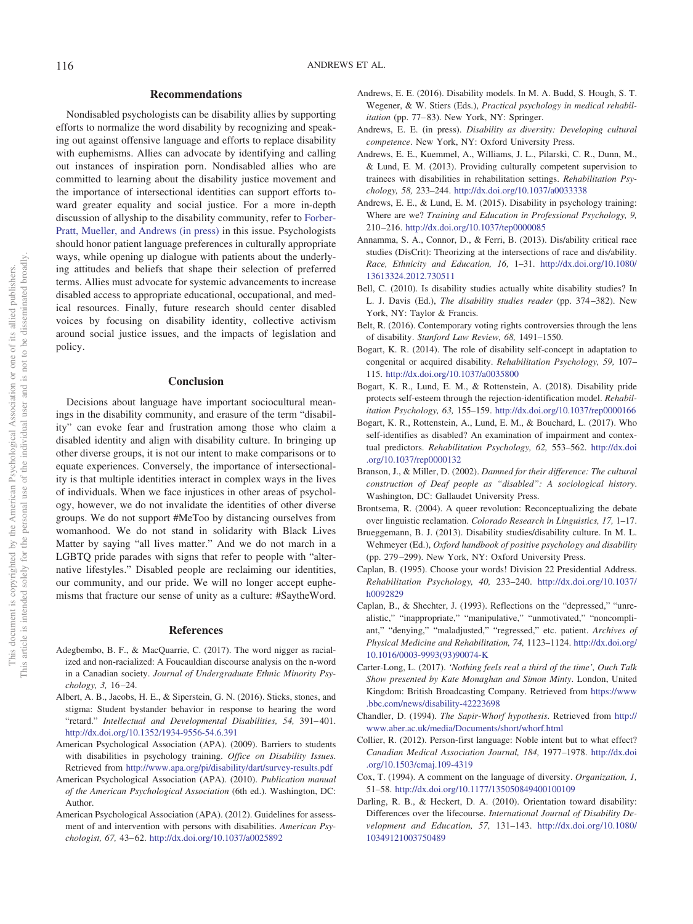## **Recommendations**

Nondisabled psychologists can be disability allies by supporting efforts to normalize the word disability by recognizing and speaking out against offensive language and efforts to replace disability with euphemisms. Allies can advocate by identifying and calling out instances of inspiration porn. Nondisabled allies who are committed to learning about the disability justice movement and the importance of intersectional identities can support efforts toward greater equality and social justice. For a more in-depth discussion of allyship to the disability community, refer to [Forber-](#page-6-34)[Pratt, Mueller, and Andrews \(in press\)](#page-6-34) in this issue. Psychologists should honor patient language preferences in culturally appropriate ways, while opening up dialogue with patients about the underlying attitudes and beliefs that shape their selection of preferred terms. Allies must advocate for systemic advancements to increase disabled access to appropriate educational, occupational, and medical resources. Finally, future research should center disabled voices by focusing on disability identity, collective activism around social justice issues, and the impacts of legislation and policy.

#### **Conclusion**

Decisions about language have important sociocultural meanings in the disability community, and erasure of the term "disability" can evoke fear and frustration among those who claim a disabled identity and align with disability culture. In bringing up other diverse groups, it is not our intent to make comparisons or to equate experiences. Conversely, the importance of intersectionality is that multiple identities interact in complex ways in the lives of individuals. When we face injustices in other areas of psychology, however, we do not invalidate the identities of other diverse groups. We do not support #MeToo by distancing ourselves from womanhood. We do not stand in solidarity with Black Lives Matter by saying "all lives matter." And we do not march in a LGBTQ pride parades with signs that refer to people with "alternative lifestyles." Disabled people are reclaiming our identities, our community, and our pride. We will no longer accept euphemisms that fracture our sense of unity as a culture: #SaytheWord.

#### **References**

- <span id="page-5-4"></span>Adegbembo, B. F., & MacQuarrie, C. (2017). The word nigger as racialized and non-racialized: A Foucauldian discourse analysis on the n-word in a Canadian society. *Journal of Undergraduate Ethnic Minority Psychology, 3,* 16 –24.
- <span id="page-5-11"></span>Albert, A. B., Jacobs, H. E., & Siperstein, G. N. (2016). Sticks, stones, and stigma: Student bystander behavior in response to hearing the word "retard." *Intellectual and Developmental Disabilities*, 54, 391-401. <http://dx.doi.org/10.1352/1934-9556-54.6.391>
- <span id="page-5-21"></span>American Psychological Association (APA). (2009). Barriers to students with disabilities in psychology training. *Office on Disability Issues*. Retrieved from <http://www.apa.org/pi/disability/dart/survey-results.pdf>
- <span id="page-5-18"></span>American Psychological Association (APA). (2010). *Publication manual of the American Psychological Association* (6th ed.). Washington, DC: Author.
- <span id="page-5-19"></span>American Psychological Association (APA). (2012). Guidelines for assessment of and intervention with persons with disabilities. *American Psychologist, 67,* 43– 62. <http://dx.doi.org/10.1037/a0025892>
- <span id="page-5-7"></span>Andrews, E. E. (2016). Disability models. In M. A. Budd, S. Hough, S. T. Wegener, & W. Stiers (Eds.), *Practical psychology in medical rehabilitation* (pp. 77–83). New York, NY: Springer.
- <span id="page-5-6"></span>Andrews, E. E. (in press). *Disability as diversity: Developing cultural competence*. New York, NY: Oxford University Press.
- <span id="page-5-8"></span>Andrews, E. E., Kuemmel, A., Williams, J. L., Pilarski, C. R., Dunn, M., & Lund, E. M. (2013). Providing culturally competent supervision to trainees with disabilities in rehabilitation settings. *Rehabilitation Psychology, 58,* 233–244. <http://dx.doi.org/10.1037/a0033338>
- <span id="page-5-20"></span>Andrews, E. E., & Lund, E. M. (2015). Disability in psychology training: Where are we? *Training and Education in Professional Psychology, 9,* 210 –216. <http://dx.doi.org/10.1037/tep0000085>
- <span id="page-5-23"></span>Annamma, S. A., Connor, D., & Ferri, B. (2013). Dis/ability critical race studies (DisCrit): Theorizing at the intersections of race and dis/ability. *Race, Ethnicity and Education, 16,* 1–31. [http://dx.doi.org/10.1080/](http://dx.doi.org/10.1080/13613324.2012.730511) [13613324.2012.730511](http://dx.doi.org/10.1080/13613324.2012.730511)
- <span id="page-5-22"></span>Bell, C. (2010). Is disability studies actually white disability studies? In L. J. Davis (Ed.), *The disability studies reader* (pp. 374 –382). New York, NY: Taylor & Francis.
- <span id="page-5-24"></span>Belt, R. (2016). Contemporary voting rights controversies through the lens of disability. *Stanford Law Review, 68,* 1491–1550.
- <span id="page-5-13"></span>Bogart, K. R. (2014). The role of disability self-concept in adaptation to congenital or acquired disability. *Rehabilitation Psychology, 59,* 107– 115. <http://dx.doi.org/10.1037/a0035800>
- <span id="page-5-16"></span>Bogart, K. R., Lund, E. M., & Rottenstein, A. (2018). Disability pride protects self-esteem through the rejection-identification model. *Rehabilitation Psychology, 63,* 155–159. <http://dx.doi.org/10.1037/rep0000166>
- <span id="page-5-15"></span>Bogart, K. R., Rottenstein, A., Lund, E. M., & Bouchard, L. (2017). Who self-identifies as disabled? An examination of impairment and contextual predictors. *Rehabilitation Psychology, 62,* 553–562. [http://dx.doi](http://dx.doi.org/10.1037/rep0000132) [.org/10.1037/rep0000132](http://dx.doi.org/10.1037/rep0000132)
- <span id="page-5-17"></span>Branson, J., & Miller, D. (2002). *Damned for their difference: The cultural construction of Deaf people as "disabled": A sociological history*. Washington, DC: Gallaudet University Press.
- <span id="page-5-5"></span>Brontsema, R. (2004). A queer revolution: Reconceptualizing the debate over linguistic reclamation. *Colorado Research in Linguistics, 17,* 1–17.
- <span id="page-5-10"></span>Brueggemann, B. J. (2013). Disability studies/disability culture. In M. L. Wehmeyer (Ed.), *Oxford handbook of positive psychology and disability* (pp. 279 –299). New York, NY: Oxford University Press.
- <span id="page-5-1"></span>Caplan, B. (1995). Choose your words! Division 22 Presidential Address. *Rehabilitation Psychology, 40,* 233–240. [http://dx.doi.org/10.1037/](http://dx.doi.org/10.1037/h0092829) [h0092829](http://dx.doi.org/10.1037/h0092829)
- <span id="page-5-2"></span>Caplan, B., & Shechter, J. (1993). Reflections on the "depressed," "unrealistic," "inappropriate," "manipulative," "unmotivated," "noncompliant," "denying," "maladjusted," "regressed," etc. patient. *Archives of Physical Medicine and Rehabilitation, 74,* 1123–1124. [http://dx.doi.org/](http://dx.doi.org/10.1016/0003-9993%2893%2990074-K) [10.1016/0003-9993\(93\)90074-K](http://dx.doi.org/10.1016/0003-9993%2893%2990074-K)
- <span id="page-5-12"></span>Carter-Long, L. (2017). *'Nothing feels real a third of the time', Ouch Talk Show presented by Kate Monaghan and Simon Minty*. London, United Kingdom: British Broadcasting Company. Retrieved from [https://www](https://www.bbc.com/news/disability-42223698) [.bbc.com/news/disability-42223698](https://www.bbc.com/news/disability-42223698)
- <span id="page-5-0"></span>Chandler, D. (1994). *The Sapir-Whorf hypothesis*. Retrieved from [http://](http://http://www.aber.ac.uk/media/Documents/short/whorf.html) [www.aber.ac.uk/media/Documents/short/whorf.html](http://http://www.aber.ac.uk/media/Documents/short/whorf.html)
- <span id="page-5-9"></span>Collier, R. (2012). Person-first language: Noble intent but to what effect? *Canadian Medical Association Journal, 184,* 1977–1978. [http://dx.doi](http://dx.doi.org/10.1503/cmaj.109-4319) [.org/10.1503/cmaj.109-4319](http://dx.doi.org/10.1503/cmaj.109-4319)
- <span id="page-5-3"></span>Cox, T. (1994). A comment on the language of diversity. *Organization, 1,* 51–58. <http://dx.doi.org/10.1177/135050849400100109>
- <span id="page-5-14"></span>Darling, R. B., & Heckert, D. A. (2010). Orientation toward disability: Differences over the lifecourse. *International Journal of Disability Development and Education, 57,* 131–143. [http://dx.doi.org/10.1080/](http://dx.doi.org/10.1080/10349121003750489) [10349121003750489](http://dx.doi.org/10.1080/10349121003750489)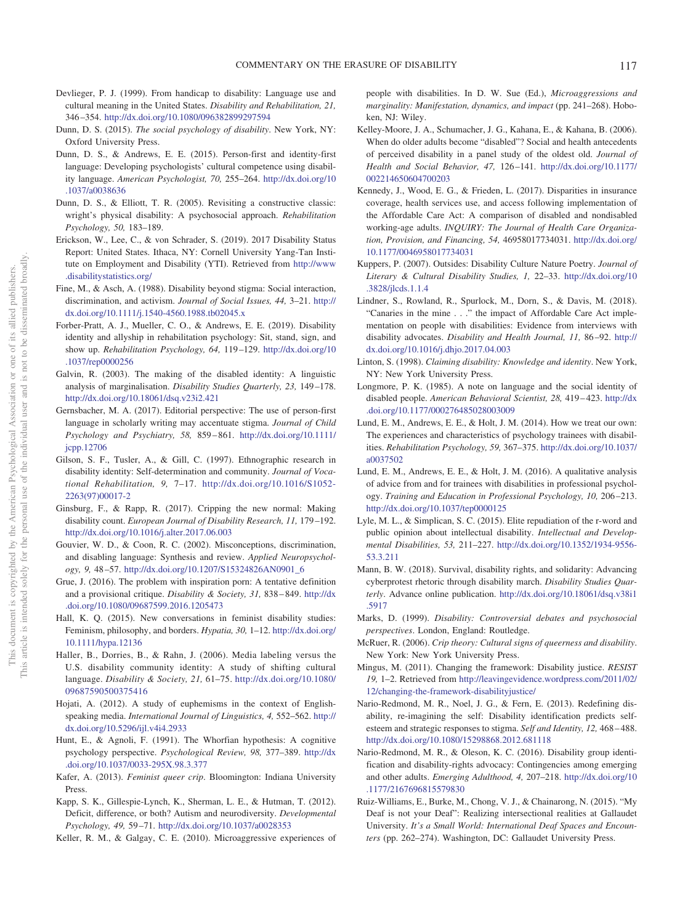- <span id="page-6-4"></span>Devlieger, P. J. (1999). From handicap to disability: Language use and cultural meaning in the United States. *Disability and Rehabilitation, 21,* 346 –354. <http://dx.doi.org/10.1080/096382899297594>
- <span id="page-6-6"></span>Dunn, D. S. (2015). *The social psychology of disability*. New York, NY: Oxford University Press.
- <span id="page-6-3"></span>Dunn, D. S., & Andrews, E. E. (2015). Person-first and identity-first language: Developing psychologists' cultural competence using disability language. *American Psychologist, 70,* 255–264. [http://dx.doi.org/10](http://dx.doi.org/10.1037/a0038636) [.1037/a0038636](http://dx.doi.org/10.1037/a0038636)
- <span id="page-6-1"></span>Dunn, D. S., & Elliott, T. R. (2005). Revisiting a constructive classic: wright's physical disability: A psychosocial approach. *Rehabilitation Psychology, 50,* 183–189.
- <span id="page-6-25"></span>Erickson, W., Lee, C., & von Schrader, S. (2019). 2017 Disability Status Report: United States. Ithaca, NY: Cornell University Yang-Tan Institute on Employment and Disability (YTI). Retrieved from [http://www](http://www.disabilitystatistics.org/) [.disabilitystatistics.org/](http://www.disabilitystatistics.org/)
- <span id="page-6-11"></span>Fine, M., & Asch, A. (1988). Disability beyond stigma: Social interaction, discrimination, and activism. *Journal of Social Issues, 44,* 3–21. [http://](http://dx.doi.org/10.1111/j.1540-4560.1988.tb02045.x) [dx.doi.org/10.1111/j.1540-4560.1988.tb02045.x](http://dx.doi.org/10.1111/j.1540-4560.1988.tb02045.x)
- <span id="page-6-34"></span>Forber-Pratt, A. J., Mueller, C. O., & Andrews, E. E. (2019). Disability identity and allyship in rehabilitation psychology: Sit, stand, sign, and show up. *Rehabilitation Psychology, 64,* 119 –129. [http://dx.doi.org/10](http://dx.doi.org/10.1037/rep0000256) [.1037/rep0000256](http://dx.doi.org/10.1037/rep0000256)
- <span id="page-6-15"></span>Galvin, R. (2003). The making of the disabled identity: A linguistic analysis of marginalisation. *Disability Studies Quarterly, 23,* 149 –178. <http://dx.doi.org/10.18061/dsq.v23i2.421>
- <span id="page-6-7"></span>Gernsbacher, M. A. (2017). Editorial perspective: The use of person-first language in scholarly writing may accentuate stigma. *Journal of Child Psychology and Psychiatry, 58,* 859 – 861. [http://dx.doi.org/10.1111/](http://dx.doi.org/10.1111/jcpp.12706) [jcpp.12706](http://dx.doi.org/10.1111/jcpp.12706)
- <span id="page-6-17"></span>Gilson, S. F., Tusler, A., & Gill, C. (1997). Ethnographic research in disability identity: Self-determination and community. *Journal of Vocational Rehabilitation, 9,* 7–17. [http://dx.doi.org/10.1016/S1052-](http://dx.doi.org/10.1016/S1052-2263%2897%2900017-2) [2263\(97\)00017-2](http://dx.doi.org/10.1016/S1052-2263%2897%2900017-2)
- <span id="page-6-31"></span>Ginsburg, F., & Rapp, R. (2017). Cripping the new normal: Making disability count. *European Journal of Disability Research, 11,* 179 –192. <http://dx.doi.org/10.1016/j.alter.2017.06.003>
- <span id="page-6-2"></span>Gouvier, W. D., & Coon, R. C. (2002). Misconceptions, discrimination, and disabling language: Synthesis and review. *Applied Neuropsychology, 9,* 48 –57. [http://dx.doi.org/10.1207/S15324826AN0901\\_6](http://dx.doi.org/10.1207/S15324826AN0901_6)
- <span id="page-6-10"></span>Grue, J. (2016). The problem with inspiration porn: A tentative definition and a provisional critique. *Disability & Society, 31,* 838 – 849. [http://dx](http://dx.doi.org/10.1080/09687599.2016.1205473) [.doi.org/10.1080/09687599.2016.1205473](http://dx.doi.org/10.1080/09687599.2016.1205473)
- <span id="page-6-26"></span>Hall, K. Q. (2015). New conversations in feminist disability studies: Feminism, philosophy, and borders. *Hypatia, 30,* 1–12. [http://dx.doi.org/](http://dx.doi.org/10.1111/hypa.12136) [10.1111/hypa.12136](http://dx.doi.org/10.1111/hypa.12136)
- <span id="page-6-5"></span>Haller, B., Dorries, B., & Rahn, J. (2006). Media labeling versus the U.S. disability community identity: A study of shifting cultural language. *Disability & Society, 21,* 61–75. [http://dx.doi.org/10.1080/](http://dx.doi.org/10.1080/09687590500375416) [09687590500375416](http://dx.doi.org/10.1080/09687590500375416)
- <span id="page-6-12"></span>Hojati, A. (2012). A study of euphemisms in the context of Englishspeaking media. *International Journal of Linguistics, 4,* 552–562. [http://](http://dx.doi.org/10.5296/ijl.v4i4.2933) [dx.doi.org/10.5296/ijl.v4i4.2933](http://dx.doi.org/10.5296/ijl.v4i4.2933)
- <span id="page-6-0"></span>Hunt, E., & Agnoli, F. (1991). The Whorfian hypothesis: A cognitive psychology perspective. *Psychological Review, 98,* 377–389. [http://dx](http://dx.doi.org/10.1037/0033-295X.98.3.377) [.doi.org/10.1037/0033-295X.98.3.377](http://dx.doi.org/10.1037/0033-295X.98.3.377)
- <span id="page-6-27"></span>Kafer, A. (2013). *Feminist queer crip*. Bloomington: Indiana University Press.
- <span id="page-6-8"></span>Kapp, S. K., Gillespie-Lynch, K., Sherman, L. E., & Hutman, T. (2012). Deficit, difference, or both? Autism and neurodiversity. *Developmental Psychology, 49,* 59 –71. http://dx.doi.org/10.1037/a0028353
- <span id="page-6-18"></span>Keller, R. M., & Galgay, C. E. (2010). Microaggressive experiences of

people with disabilities. In D. W. Sue (Ed.), *Microaggressions and marginality: Manifestation, dynamics, and impact* (pp. 241–268). Hoboken, NJ: Wiley.

- <span id="page-6-19"></span>Kelley-Moore, J. A., Schumacher, J. G., Kahana, E., & Kahana, B. (2006). When do older adults become "disabled"? Social and health antecedents of perceived disability in a panel study of the oldest old. *Journal of Health and Social Behavior, 47,* 126 –141. [http://dx.doi.org/10.1177/](http://dx.doi.org/10.1177/002214650604700203) [002214650604700203](http://dx.doi.org/10.1177/002214650604700203)
- <span id="page-6-32"></span>Kennedy, J., Wood, E. G., & Frieden, L. (2017). Disparities in insurance coverage, health services use, and access following implementation of the Affordable Care Act: A comparison of disabled and nondisabled working-age adults. *INQUIRY: The Journal of Health Care Organization, Provision, and Financing, 54,* 46958017734031. [http://dx.doi.org/](http://dx.doi.org/10.1177/0046958017734031) [10.1177/0046958017734031](http://dx.doi.org/10.1177/0046958017734031)
- Kuppers, P. (2007). Outsides: Disability Culture Nature Poetry. *Journal of Literary & Cultural Disability Studies, 1,* 22–33. [http://dx.doi.org/10](http://dx.doi.org/10.3828/jlcds.1.1.4) [.3828/jlcds.1.1.4](http://dx.doi.org/10.3828/jlcds.1.1.4)
- <span id="page-6-33"></span>Lindner, S., Rowland, R., Spurlock, M., Dorn, S., & Davis, M. (2018). "Canaries in the mine . . ." the impact of Affordable Care Act implementation on people with disabilities: Evidence from interviews with disability advocates. *Disability and Health Journal, 11,* 86 –92. [http://](http://dx.doi.org/10.1016/j.dhjo.2017.04.003) [dx.doi.org/10.1016/j.dhjo.2017.04.003](http://dx.doi.org/10.1016/j.dhjo.2017.04.003)
- <span id="page-6-16"></span>Linton, S. (1998). *Claiming disability: Knowledge and identity*. New York, NY: New York University Press.
- <span id="page-6-14"></span>Longmore, P. K. (1985). A note on language and the social identity of disabled people. *American Behavioral Scientist, 28,* 419 – 423. [http://dx](http://dx.doi.org/10.1177/000276485028003009) [.doi.org/10.1177/000276485028003009](http://dx.doi.org/10.1177/000276485028003009)
- <span id="page-6-23"></span>Lund, E. M., Andrews, E. E., & Holt, J. M. (2014). How we treat our own: The experiences and characteristics of psychology trainees with disabilities. *Rehabilitation Psychology, 59,* 367–375. [http://dx.doi.org/10.1037/](http://dx.doi.org/10.1037/a0037502) [a0037502](http://dx.doi.org/10.1037/a0037502)
- <span id="page-6-24"></span>Lund, E. M., Andrews, E. E., & Holt, J. M. (2016). A qualitative analysis of advice from and for trainees with disabilities in professional psychology. *Training and Education in Professional Psychology, 10,* 206 –213. <http://dx.doi.org/10.1037/tep0000125>
- <span id="page-6-9"></span>Lyle, M. L., & Simplican, S. C. (2015). Elite repudiation of the r-word and public opinion about intellectual disability. *Intellectual and Developmental Disabilities, 53,* 211–227. [http://dx.doi.org/10.1352/1934-9556-](http://dx.doi.org/10.1352/1934-9556-53.3.211) [53.3.211](http://dx.doi.org/10.1352/1934-9556-53.3.211)
- <span id="page-6-30"></span>Mann, B. W. (2018). Survival, disability rights, and solidarity: Advancing cyberprotest rhetoric through disability march. *Disability Studies Quarterly*. Advance online publication. [http://dx.doi.org/10.18061/dsq.v38i1](http://dx.doi.org/10.18061/dsq.v38i1.5917) [.5917](http://dx.doi.org/10.18061/dsq.v38i1.5917)
- <span id="page-6-13"></span>Marks, D. (1999). *Disability: Controversial debates and psychosocial perspectives*. London, England: Routledge.
- <span id="page-6-28"></span>McRuer, R. (2006). *Crip theory: Cultural signs of queerness and disability*. New York: New York University Press.
- <span id="page-6-29"></span>Mingus, M. (2011). Changing the framework: Disability justice. *RESIST 19,* 1–2. Retrieved from [http://leavingevidence.wordpress.com/2011/02/](http://leavingevidence.wordpress.com/2011/02/12/changing-the-framework-disabilityjustice/) [12/changing-the-framework-disabilityjustice/](http://leavingevidence.wordpress.com/2011/02/12/changing-the-framework-disabilityjustice/)
- <span id="page-6-20"></span>Nario-Redmond, M. R., Noel, J. G., & Fern, E. (2013). Redefining disability, re-imagining the self: Disability identification predicts selfesteem and strategic responses to stigma. *Self and Identity, 12,* 468 – 488. <http://dx.doi.org/10.1080/15298868.2012.681118>
- <span id="page-6-21"></span>Nario-Redmond, M. R., & Oleson, K. C. (2016). Disability group identification and disability-rights advocacy: Contingencies among emerging and other adults. *Emerging Adulthood, 4,* 207–218. [http://dx.doi.org/10](http://dx.doi.org/10.1177/2167696815579830) [.1177/2167696815579830](http://dx.doi.org/10.1177/2167696815579830)
- <span id="page-6-22"></span>Ruiz-Williams, E., Burke, M., Chong, V. J., & Chainarong, N. (2015). "My Deaf is not your Deaf": Realizing intersectional realities at Gallaudet University. *It's a Small World: International Deaf Spaces and Encounters* (pp. 262–274). Washington, DC: Gallaudet University Press.